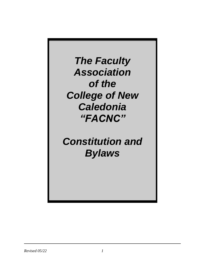*The Faculty Association of the College of New Caledonia "FACNC"*

# *Constitution and Bylaws*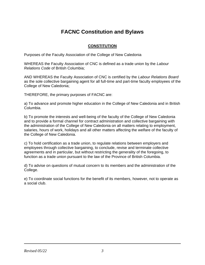# **FACNC Constitution and Bylaws**

# **CONSTITUTION**

Purposes of the Faculty Association of the College of New Caledonia

WHEREAS the Faculty Association of CNC is defined as a trade union by the *Labour Relations Code* of British Columbia;

AND WHEREAS the Faculty Association of CNC is certified by the *Labour Relations Board* as the sole collective bargaining agent for all full-time and part-time faculty employees of the College of New Caledonia;

THEREFORE, the primary purposes of FACNC are:

a) To advance and promote higher education in the College of New Caledonia and in British Columbia.

b) To promote the interests and well-being of the faculty of the College of New Caledonia and to provide a formal channel for contract administration and collective bargaining with the administration of the College of New Caledonia on all matters relating to employment, salaries, hours of work, holidays and all other matters affecting the welfare of the faculty of the College of New Caledonia.

c) To hold certification as a trade union, to regulate relations between employers and employees through collective bargaining, to conclude, revise and terminate collective agreements and in particular, but without restricting the generality of the foregoing, to function as a trade union pursuant to the law of the Province of British Columbia.

d) To advise on questions of mutual concern to its members and the administration of the College.

e) To coordinate social functions for the benefit of its members, however, not to operate as a social club.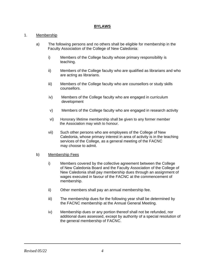#### **BYLAWS**

#### 1. Membership

- a) The following persons and no others shall be eligible for membership in the Faculty Association of the College of New Caledonia:
	- i) Members of the College faculty whose primary responsibility is teaching.
	- ii) Members of the College faculty who are qualified as librarians and who are acting as librarians.
	- iii) Members of the College faculty who are counsellors or study skills counsellors.
	- iv) Members of the College faculty who are engaged in curriculum development
	- v) Members of the College faculty who are engaged in research activity
	- vi) Honorary lifetime membership shall be given to any former member the Association may wish to honour.
	- vii) Such other persons who are employees of the College of New Caledonia, whose primary interest in area of activity is in the teaching services of the College, as a general meeting of the FACNC may choose to admit.

#### b) Membership Fees

- i) Members covered by the collective agreement between the College of New Caledonia Board and the Faculty Association of the College of New Caledonia shall pay membership dues through an assignment of wages executed in favour of the FACNC at the commencement of membership.
- ii) Other members shall pay an annual membership fee.
- iii) The membership dues for the following year shall be determined by the FACNC membership at the Annual General Meeting.
- iv) Membership dues or any portion thereof shall not be refunded, nor additional dues assessed, except by authority of a special resolution of the general membership of FACNC.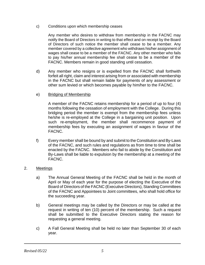c) Conditions upon which membership ceases

Any member who desires to withdraw from membership in the FACNC may notify the Board of Directors in writing to that effect and on receipt by the Board of Directors of such notice the member shall cease to be a member. Any member covered by a collective agreement who withdraws his/her assignment of wages shall cease to be a member of the FACNC. Any other member who fails to pay his/her annual membership fee shall cease to be a member of the FACNC. Members remain in good standing until cessation.

- d) Any member who resigns or is expelled from the FACNC shall forthwith forfeit all right, claim and interest arising from or associated with membership in the FACNC but shall remain liable for payments of any assessment or other sum levied or which becomes payable by him/her to the FACNC.
- e) Bridging of Membership

A member of the FACNC retains membership for a period of up to four (4) months following the cessation of employment with the College. During this bridging period the member is exempt from the membership fees unless he/she is re-employed at the College in a bargaining unit position. Upon such re-employment, the member shall recommence payment of membership fees by executing an assignment of wages in favour of the FACNC.

- f) Every member shall be bound by and submit to the Constitution and By-Laws of the FACNC, and such rules and regulations as from time to time shall be enacted by the FACNC. Members who fail to abide by the Constitution and By-Laws shall be liable to expulsion by the membership at a meeting of the FACNC.
- 2. Meetings
	- a) The Annual General Meeting of the FACNC shall be held in the month of April or May of each year for the purpose of electing the Executive of the Board of Directors of the FACNC (Executive Directors), Standing Committees of the FACNC and Appointees to Joint committees, who shall hold office for the succeeding year.
	- b) General meetings may be called by the Directors or may be called at the request in writing of ten (10) percent of the membership. Such a request shall be submitted to the Executive Directors stating the reason for requesting a general meeting.
	- c) A Fall General Meeting shall be held no later than September 30 of each year.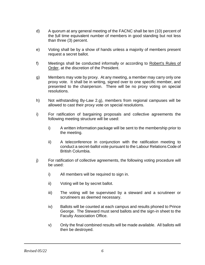- d) A quorum at any general meeting of the FACNC shall be ten (10) percent of the full time equivalent number of members in good standing but not less than three (3) percent.
- e) Voting shall be by a show of hands unless a majority of members present request a secret ballot.
- f) Meetings shall be conducted informally or according to Robert's Rules of Order, at the discretion of the President.
- g) Members may vote by proxy. At any meeting, a member may carry only one proxy vote. It shall be in writing, signed over to one specific member, and presented to the chairperson. There will be no proxy voting on special resolutions.
- h) Not withstanding By-Law 2.g), members from regional campuses will be allowed to cast their proxy vote on special resolutions.
- i) For ratification of bargaining proposals and collective agreements the following meeting structure will be used:
	- i) A written information package will be sent to the membership prior to the meeting.
	- ii) A teleconference in conjunction with the ratification meeting to conduct a secret-ballot vote pursuant to the Labour Relations Code of British Columbia.
- j) For ratification of collective agreements, the following voting procedure will be used:
	- i) All members will be required to sign in.
	- ii) Voting will be by secret ballot.
	- iii) The voting will be supervised by a steward and a scrutineer or scrutineers as deemed necessary.
	- iv) Ballots will be counted at each campus and results phoned to Prince George. The Steward must send ballots and the sign-in sheet to the Faculty Association Office.
	- v) Only the final combined results will be made available. All ballots will then be destroyed.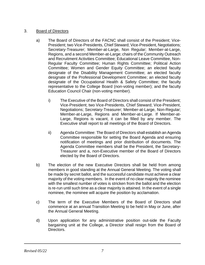# 3. Board of Directors

- a) The Board of Directors of the FACNC shall consist of the President; Vice-President; two Vice-Presidents, Chief Steward; Vice-President, Negotiations; Secretary-Treasurer; Member-at-Large, Non Regular; Member-at-Large, Regions, and a second Member-at-Large; chairs of the Community Outreach and Recruitment Activities Committee; Educational Leave Committee, Non-Regular Faculty Committee; Human Rights Committee; Political Action Committee; Women and Gender Equity Committee; an elected faculty designate of the Disability Management Committee; an elected faculty designate of the Professional Development Committee; an elected faculty designate of the Occupational Health & Safety Committee; the faculty representative to the College Board (non-voting member); and the faculty Education Council Chair (non-voting member).
	- i) The Executive of the Board of Directors shall consist of the President; Vice-President; two Vice-Presidents, Chief Steward; Vice-President, Negotiations; Secretary-Treasurer; Member-at-Large, Non-Regular; Member-at-Large, Regions and Member-at-Large. If Member-at-Large, Regions is vacant, it can be filled by any member. The Executive shall report to all meetings of the Board of Directors.
	- ii) Agenda Committee: The Board of Directors shall establish an Agenda Committee responsible for setting the Board Agenda and ensuring notification of meetings and prior distribution of documents. The Agenda Committee members shall be the President, the Secretary-Treasurer and a, non-Executive member of the Board of Directors elected by the Board of Directors.
- b) The election of the new Executive Directors shall be held from among members in good standing at the Annual General Meeting. The voting shall be made by secret ballot, and the successful candidate must achieve a clear majority of the voting members. In the event of no clear majority the nominee with the smallest number of votes is stricken from the ballot and the election is re-run until such time as a clear majority is attained. In the event of a single nominee, the nominee will acquire the position by acclamation.
- c) The term of the Executive Members of the Board of Directors shall commence at an annual Transition Meeting to be held in May or June, after the Annual General Meeting.
- d) Upon application for any administrative position out-side the Faculty bargaining unit at the College, a Director shall resign from the Board of Directors.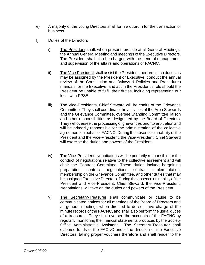- e) A majority of the voting Directors shall form a quorum for the transaction of business.
- f) Duties of the Directors
	- i) The President shall, when present, preside at all General Meetings, the Annual General Meeting and meetings of the Executive Directors. The President shall also be charged with the general management and supervision of the affairs and operations of FACNC.
	- ii) The Vice President shall assist the President, perform such duties as may be assigned by the President or Executive, conduct the annual review of the Constitution and Bylaws & Policies and Procedures manuals for the Executive, and act in the President's role should the President be unable to fulfill their duties, including representing our local with FPSE.
	- iii) The Vice-Presidents, Chief Steward will be chairs of the Grievance Committee. They shall coordinate the activities of the Area Stewards and the Grievance Committee, oversee Standing Committee liaison and other responsibilities as designated by the Board of Directors. They will oversee the processing of grievances prior to arbitration and will be primarily responsible for the administration of the collective agreement on behalf of FACNC. During the absence or inability of the President and the Vice-President, the Vice-President, Chief Steward will exercise the duties and powers of the President.
	- iv) The Vice-President, Negotiations will be primarily responsible for the conduct of negotiations relative to the collective agreement and will chair the Contract Committee. These duties include bargaining preparation, contract negotiations, contract implementation, membership on the Grievance Committee, and other duties that may be assigned Executive Directors. During the absence or inability of the President and Vice-President, Chief Steward, the Vice-President, Negotiations will take on the duties and powers of the President.
	- v) The Secretary-Treasurer shall communicate or cause to be communicated notices for all meetings of the Board of Directors and all general meetings when directed to do so, have charge of the minute records of the FACNC, and shall also perform the usual duties of a treasurer. They shall oversee the accounts of the FACNC by regularly monitoring the financial statements produced by the Society Office Administrative Assistant. The Secretary-Treasurer shall disburse funds of the FACNC under the direction of the Executive Directors, taking proper vouchers therefore and shall render to the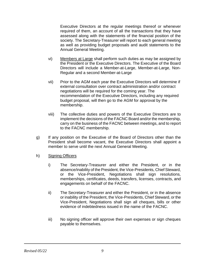Executive Directors at the regular meetings thereof or whenever required of them, an account of all the transactions that they have assessed along with the statements of the financial position of the society. The Secretary-Treasurer will report to each general meeting as well as providing budget proposals and audit statements to the Annual General Meeting.

- vi) Members at Large shall perform such duties as may be assigned by the President or the Executive Directors. The Executive of the Board Directors will include a Member-at-Large, Member-at-Large, Non-Regular and a second Member-at-Large
- vii) Prior to the AGM each year the Executive Directors will determine if external consultation over contract administration and/or contract negotiations will be required for the coming year. The recommendation of the Executive Directors, including any required budget proposal, will then go to the AGM for approval by the membership.
- viii) The collective duties and powers of the Executive Directors are to implement the decisions of the FACNC Board and/or the membership, carry on the business of the FACNC between meetings, and to report to the FACNC membership.
- g) If any position on the Executive of the Board of Directors other than the President shall become vacant, the Executive Directors shall appoint a member to serve until the next Annual General Meeting.
- h) Signing Officers
	- i) The Secretary-Treasurer and either the President, or in the absence/inability of the President, the Vice-Presidents, Chief Steward, or the Vice-President, Negotiations shall sign resolutions, memberships, certificates, deeds, transfers, licenses, contracts, and engagements on behalf of the FACNC.
	- ii) The Secretary-Treasurer and either the President, or in the absence or inability of the President, the Vice-Presidents, Chief Steward, or the Vice-President, Negotiations shall sign all cheques, bills or other evidence of indebtedness issued in the name of the FACNC.
	- iii) No signing officer will approve their own expenses or sign cheques payable to themselves.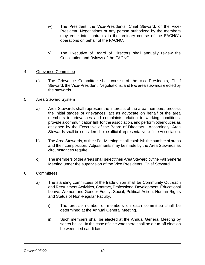- iv) The President, the Vice-Presidents, Chief Steward, or the Vice-President, Negotiations or any person authorized by the members may enter into contracts in the ordinary course of the FACNC's operations on behalf of the FACNC.
- v) The Executive of Board of Directors shall annually review the Constitution and Bylaws of the FACNC.

# 4. Grievance Committee

a) The Grievance Committee shall consist of the Vice-Presidents, Chief Steward, the Vice-President, Negotiations, and two area stewards elected by the stewards.

# 5. Area Steward System

- a) Area Stewards shall represent the interests of the area members, process the initial stages of grievances, act as advocate on behalf of the area members in grievances and complaints relating to working conditions, provide a communication link for the association, and perform other duties as assigned by the Executive of the Board of Directors. Accordingly, Area Stewards shall be considered to be official representatives of the Association.
- b) The Area Stewards, at their Fall Meeting, shall establish the number of areas and their composition. Adjustments may be made by the Area Stewards as circumstances require.
- c) The members of the areas shall select their Area Steward by the Fall General Meeting under the supervision of the Vice Presidents, Chief Steward.

#### 6. Committees

- a) The standing committees of the trade union shall be Community Outreach and Recruitment Activities, Contract, Professional Development, Educational Leave, Women and Gender Equity, Social, Political Action, Human Rights and Status of Non-Regular Faculty.
	- i) The precise number of members on each committee shall be determined at the Annual General Meeting.
	- ii) Such members shall be elected at the Annual General Meeting by secret ballot. In the case of a tie vote there shall be a run-off election between tied candidates.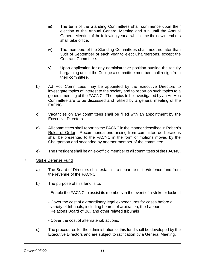- iii) The term of the Standing Committees shall commence upon their election at the Annual General Meeting and run until the Annual General Meeting of the following year at which time the new members shall take office.
- iv) The members of the Standing Committees shall meet no later than 30th of September of each year to elect Chairpersons, except the Contract Committee.
- v) Upon application for any administrative position outside the faculty bargaining unit at the College a committee member shall resign from their committee.
- b) Ad Hoc Committees may be appointed by the Executive Directors to investigate topics of interest to the society and to report on such topics to a general meeting of the FACNC. The topics to be investigated by an Ad Hoc Committee are to be discussed and ratified by a general meeting of the FACNC.
- c) Vacancies on any committees shall be filled with an appointment by the Executive Directors.
- d) All committees shall report to the FACNC in the manner described in Robert's Rules of Order. Recommendations arising from committee deliberations shall be presented to the FACNC in the form of motions moved by the Chairperson and seconded by another member of the committee.
- e) The President shall be an ex-officio member of all committees of the FACNC.

#### 7. Strike Defense Fund

- a) The Board of Directors shall establish a separate strike/defence fund from the revenue of the FACNC.
- b) The purpose of this fund is to:
	- Enable the FACNC to assist its members in the event of a strike or lockout
	- Cover the cost of extraordinary legal expenditures for cases before a variety of tribunals, including boards of arbitration, the Labour Relations Board of BC, and other related tribunals
	- Cover the cost of alternate job actions.
- c) The procedures for the administration of this fund shall be developed by the Executive Directors and are subject to ratification by a General Meeting.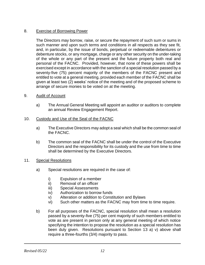# 8. Exercise of Borrowing Power

The Directors may borrow, raise, or secure the repayment of such sum or sums in such manner and upon such terms and conditions in all respects as they see fit, and, in particular, by the issue of bonds, perpetual or redeemable debentures or debenture stocks, or any mortgage, charge or any other security on the under-taking of the whole or any part of the present and the future property both real and personal of the FACNC. Provided, however, that none of these powers shall be exercised except in accordance with the sanction of a special resolution passed by a seventy-five (75) percent majority of the members of the FACNC present and entitled to vote at a general meeting, provided each member of the FACNC shall be given at least two (2) weeks' notice of the meeting and of the proposed scheme to arrange of secure monies to be voted on at the meeting.

# 9. Audit of Account

a) The Annual General Meeting will appoint an auditor or auditors to complete an annual Review Engagement Report.

# 10. Custody and Use of the Seal of the FACNC

- a) The Executive Directors may adopt a seal which shall be the common seal of the FACNC.
- b) The common seal of the FACNC shall be under the control of the Executive Directors and the responsibility for its custody and the use from time to time shall be determined by the Executive Directors.

#### 11. Special Resolutions

- a) Special resolutions are required in the case of:
	- i) Expulsion of a member
	- ii) Removal of an officer
	- iii) Special Assessments
	- iv) Authorization to borrow funds
	- v) Alteration or addition to Constitution and Bylaws
	- vi) Such other matters as the FACNC may from time to time require.
- b) For all purposes of the FACNC, special resolution shall mean a resolution passed by a seventy-five (75) per cent majority of such members entitled to vote as are present in person only at any general meeting of which notice specifying the intention to propose the resolution as a special resolution has been duly given. Resolutions pursuant to Section 13 a) v) above shall require a three-fourths (3/4) majority to pass.